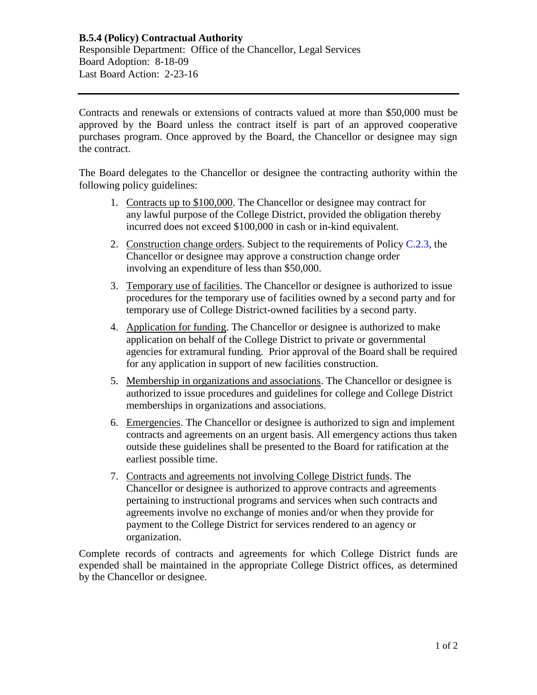Contracts and renewals or extensions of contracts valued at more than \$50,000 must be approved by the Board unless the contract itself is part of an approved cooperative purchases program. Once approved by the Board, the Chancellor or designee may sign the contract.

The Board delegates to the Chancellor or designee the contracting authority within the following policy guidelines:

- 1. Contracts up to \$100,000. The Chancellor or designee may contract for any lawful purpose of the College District, provided the obligation thereby incurred does not exceed \$100,000 in cash or in-kind equivalent.
- 2. Construction change orders. Subject to the requirements of Policy [C.2.3,](https://www.alamo.edu/siteassets/district/about-us/leadership/board-of-trustees/policies-pdfs/section-c/c.2.3-policy.pdf) the Chancellor or designee may approve a construction change order involving an expenditure of less than \$50,000.
- 3. Temporary use of facilities. The Chancellor or designee is authorized to issue procedures for the temporary use of facilities owned by a second party and for temporary use of College District-owned facilities by a second party.
- 4. Application for funding. The Chancellor or designee is authorized to make application on behalf of the College District to private or governmental agencies for extramural funding. Prior approval of the Board shall be required for any application in support of new facilities construction.
- 5. Membership in organizations and associations. The Chancellor or designee is authorized to issue procedures and guidelines for college and College District memberships in organizations and associations.
- 6. Emergencies. The Chancellor or designee is authorized to sign and implement contracts and agreements on an urgent basis. All emergency actions thus taken outside these guidelines shall be presented to the Board for ratification at the earliest possible time.
- 7. Contracts and agreements not involving College District funds. The Chancellor or designee is authorized to approve contracts and agreements pertaining to instructional programs and services when such contracts and agreements involve no exchange of monies and/or when they provide for payment to the College District for services rendered to an agency or organization.

Complete records of contracts and agreements for which College District funds are expended shall be maintained in the appropriate College District offices, as determined by the Chancellor or designee.